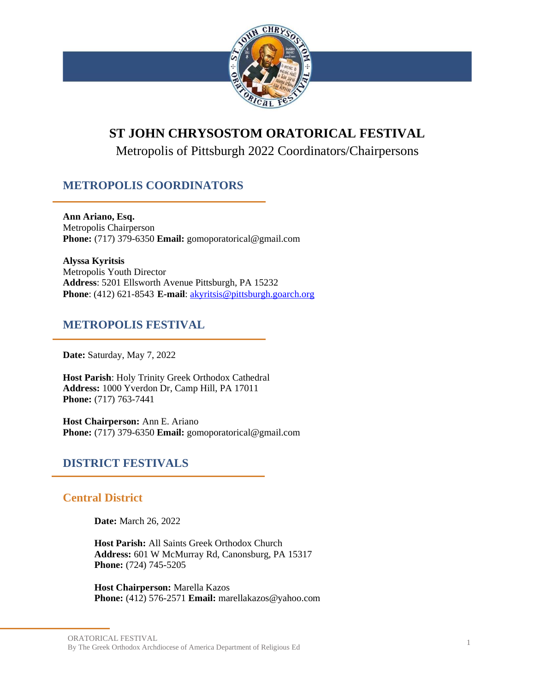

# **ST JOHN CHRYSOSTOM ORATORICAL FESTIVAL**

Metropolis of Pittsburgh 2022 Coordinators/Chairpersons

# **METROPOLIS COORDINATORS**

**Ann Ariano, Esq.** Metropolis Chairperson **Phone:** (717) 379-6350 **Email:** gomoporatorical@gmail.com

**Alyssa Kyritsis** Metropolis Youth Director **Address**: 5201 Ellsworth Avenue Pittsburgh, PA 15232 **Phone**: (412) 621-8543 **E-mail**: [akyritsis@pittsburgh.goarch.org](mailto:akyritsis@pittsburgh.goarch.org)

# **METROPOLIS FESTIVAL**

**Date:** Saturday, May 7, 2022

**Host Parish**: Holy Trinity Greek Orthodox Cathedral **Address:** 1000 Yverdon Dr, Camp Hill, PA 17011 **Phone:** (717) 763-7441

**Host Chairperson:** Ann E. Ariano **Phone:** (717) 379-6350 **Email:** gomoporatorical@gmail.com

# **DISTRICT FESTIVALS**

# **Central District**

**Date:** March 26, 2022

**Host Parish:** All Saints Greek Orthodox Church **Address:** 601 W McMurray Rd, Canonsburg, PA 15317 **Phone:** (724) 745-5205

**Host Chairperson:** Marella Kazos **Phone:** (412) 576-2571 **Email:** marellakazos@yahoo.com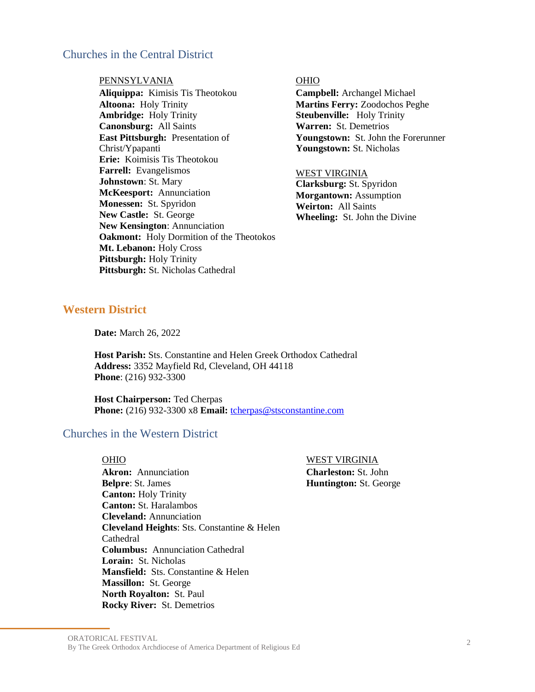# Churches in the Central District

### PENNSYLVANIA OHIO

**Aliquippa:** Kimisis Tis Theotokou **Altoona:** Holy Trinity **Ambridge:** Holy Trinity **Canonsburg:** All Saints **East Pittsburgh:** Presentation of Christ/Ypapanti **Erie:** Koimisis Tis Theotokou **Farrell:** Evangelismos **Johnstown**: St. Mary **McKeesport:** Annunciation **Monessen:** St. Spyridon **New Castle:** St. George **New Kensington**: Annunciation **Oakmont:** Holy Dormition of the Theotokos **Mt. Lebanon:** Holy Cross **Pittsburgh:** Holy Trinity Pittsburgh: St. Nicholas Cathedral

**Campbell:** Archangel Michael **Martins Ferry:** Zoodochos Peghe **Steubenville:** Holy Trinity **Warren:** St. Demetrios **Youngstown:** St. John the Forerunner **Youngstown:** St. Nicholas

### WEST VIRGINIA

**Clarksburg:** St. Spyridon **Morgantown:** Assumption **Weirton:** All Saints **Wheeling:** St. John the Divine

## **Western District**

**Date:** March 26, 2022

**Host Parish:** Sts. Constantine and Helen Greek Orthodox Cathedral  **Address:** 3352 Mayfield Rd, Cleveland, OH 44118  **Phone**: (216) 932-3300

**Host Chairperson:** Ted Cherpas  **Phone:** (216) 932-3300 x8 **Email:** [tcherpas@stsconstantine.com](mailto:tcherpas@stsconstantine.com)

# Churches in the Western District

## OHIO WEST VIRGINIA

**Charleston:** St. John **Huntington:** St. George

**Akron:** Annunciation **Belpre**: St. James **Canton:** Holy Trinity **Canton:** St. Haralambos **Cleveland:** Annunciation **Cleveland Heights**: Sts. Constantine & Helen Cathedral **Columbus:** Annunciation Cathedral **Lorain:** St. Nicholas **Mansfield:** Sts. Constantine & Helen **Massillon:** St. George **North Royalton:** St. Paul **Rocky River:** St. Demetrios